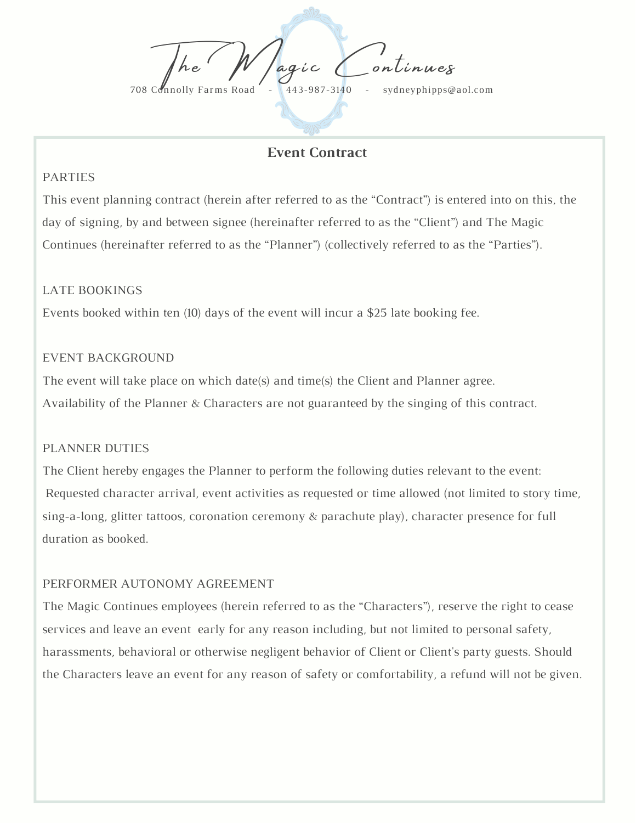The *W* agic Continues 708 Connolly Farms Road - 443-987-3140 - sydneyphipps@aol.com

# **Event Contract**

#### PARTIES

This event planning contract (herein after referred to as the "Contract") is entered into on this, the day of signing, by and between signee (hereinafter referred to as the "Client") and The Magic Continues (hereinafter referred to as the "Planner") (collectively referred to as the "Parties").

#### LATE BOOKINGS

Events booked within ten (10) days of the event will incur a \$25 late booking fee.

#### EVENT BACKGROUND

The event will take place on which date(s) and time(s) the Client and Planner agree. Availability of the Planner & Characters are not guaranteed by the singing of this contract.

#### PLANNER DUTIES

The Client hereby engages the Planner to perform the following duties relevant to the event: Requested character arrival, event activities as requested or time allowed (not limited to story time, sing-a-long, glitter tattoos, coronation ceremony & parachute play), character presence for full duration as booked.

# PERFORMER AUTONOMY AGREEMENT

The Magic Continues employees (herein referred to as the "Characters"), reserve the right to cease services and leave an event early for any reason including, but not limited to personal safety, harassments, behavioral or otherwise negligent behavior of Client or Client's party guests. Should the Characters leave an event for any reason of safety or comfortability, a refund will not be given.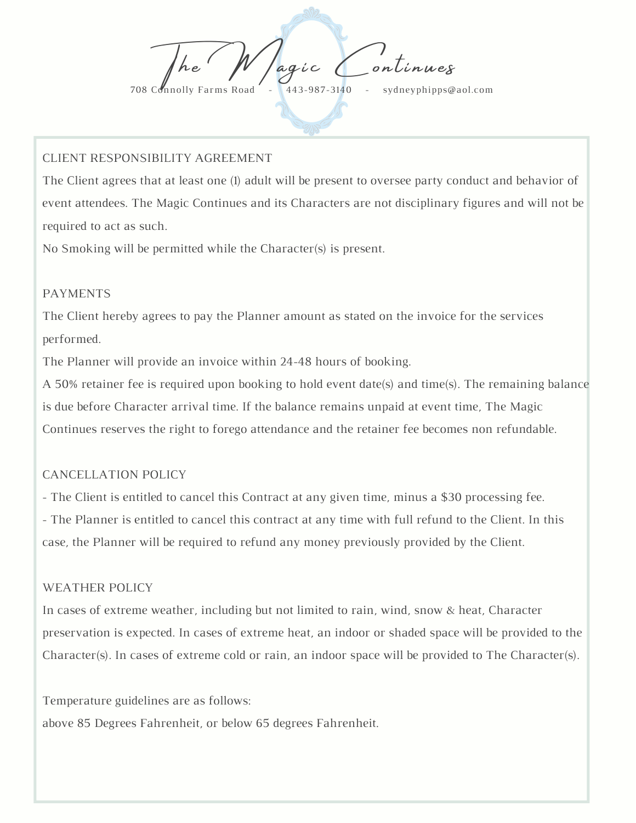The *W* agic Continues 708 Connolly Farms Road - 443-987-3140 - sydneyphipps@aol.com

### CLIENT RESPONSIBILITY AGREEMENT

The Client agrees that at least one (1) adult will be present to oversee party conduct and behavior of event attendees. The Magic Continues and its Characters are not disciplinary figures and will not be required to act as such.

No Smoking will be permitted while the Character(s) is present.

#### PAYMENTS

The Client hereby agrees to pay the Planner amount as stated on the invoice for the services performed.

The Planner will provide an invoice within 24-48 hours of booking.

A 50% retainer fee is required upon booking to hold event date(s) and time(s). The remaining balance is due before Character arrival time. If the balance remains unpaid at event time, The Magic Continues reserves the right to forego attendance and the retainer fee becomes non refundable.

# CANCELLATION POLICY

- The Client is entitled to cancel this Contract at any given time, minus a \$30 processing fee. - The Planner is entitled to cancel this contract at any time with full refund to the Client. In this case, the Planner will be required to refund any money previously provided by the Client.

#### WEATHER POLICY

In cases of extreme weather, including but not limited to rain, wind, snow & heat, Character preservation is expected. In cases of extreme heat, an indoor or shaded space will be provided to the Character(s). In cases of extreme cold or rain, an indoor space will be provided to The Character(s).

Temperature guidelines are as follows:

above 85 Degrees Fahrenheit, or below 65 degrees Fahrenheit.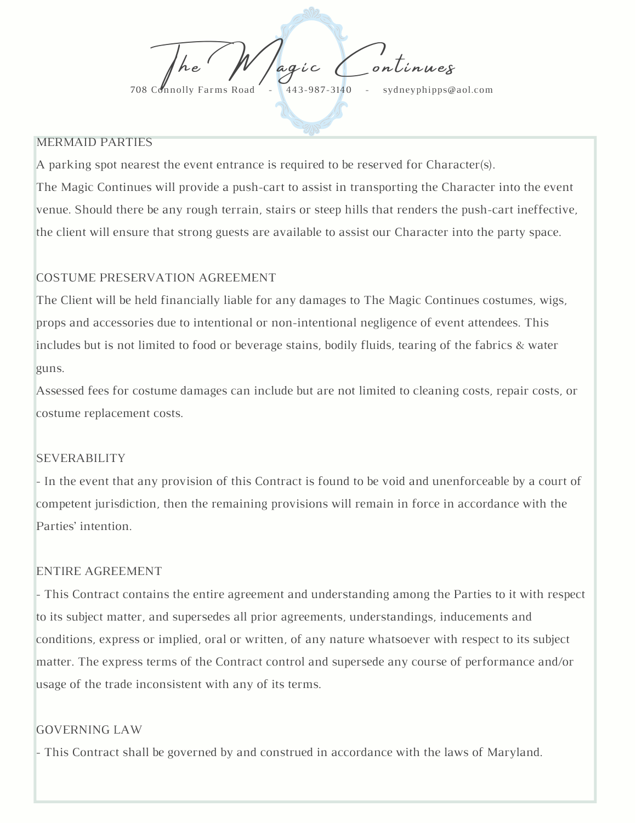The *W* agic Continues 708 Connolly Farms Road - 443-987-3140 - sydneyphipps@aol.com

### MERMAID PARTIES

A parking spot nearest the event entrance is required to be reserved for Character(s). The Magic Continues will provide a push-cart to assist in transporting the Character into the event venue. Should there be any rough terrain, stairs or steep hills that renders the push-cart ineffective, the client will ensure that strong guests are available to assist our Character into the party space.

# COSTUME PRESERVATION AGREEMENT

The Client will be held financially liable for any damages to The Magic Continues costumes, wigs, props and accessories due to intentional or non-intentional negligence of event attendees. This includes but is not limited to food or beverage stains, bodily fluids, tearing of the fabrics & water guns.

Assessed fees for costume damages can include but are not limited to cleaning costs, repair costs, or costume replacement costs.

# **SEVERABILITY**

- In the event that any provision of this Contract is found to be void and unenforceable by a court of competent jurisdiction, then the remaining provisions will remain in force in accordance with the Parties' intention.

# ENTIRE AGREEMENT

- This Contract contains the entire agreement and understanding among the Parties to it with respect to its subject matter, and supersedes all prior agreements, understandings, inducements and conditions, express or implied, oral or written, of any nature whatsoever with respect to its subject matter. The express terms of the Contract control and supersede any course of performance and/or usage of the trade inconsistent with any of its terms.

# GOVERNING LAW

- This Contract shall be governed by and construed in accordance with the laws of Maryland.